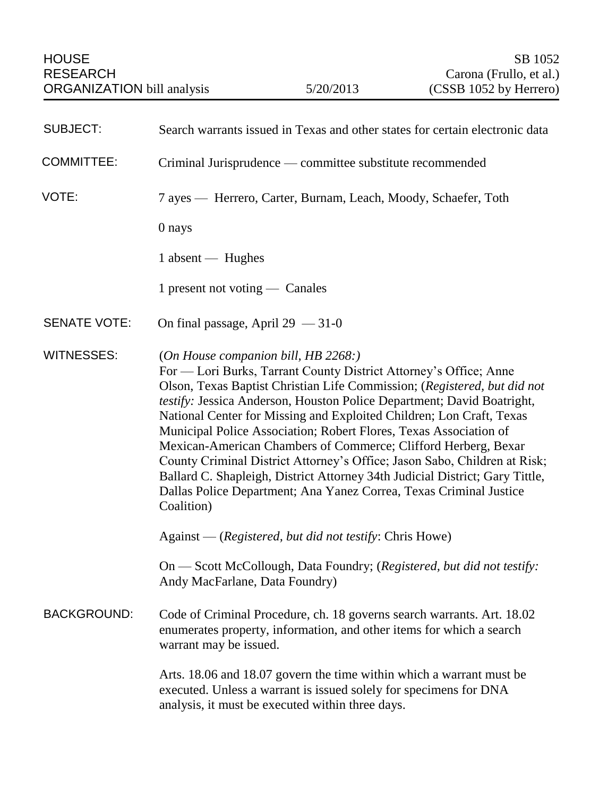| <b>SUBJECT:</b>     | Search warrants issued in Texas and other states for certain electronic data                                                                                                                                                                                                                                                                                                                                                                                                                                                                                                                                                                                                                                                   |
|---------------------|--------------------------------------------------------------------------------------------------------------------------------------------------------------------------------------------------------------------------------------------------------------------------------------------------------------------------------------------------------------------------------------------------------------------------------------------------------------------------------------------------------------------------------------------------------------------------------------------------------------------------------------------------------------------------------------------------------------------------------|
| <b>COMMITTEE:</b>   | Criminal Jurisprudence — committee substitute recommended                                                                                                                                                                                                                                                                                                                                                                                                                                                                                                                                                                                                                                                                      |
| VOTE:               | 7 ayes — Herrero, Carter, Burnam, Leach, Moody, Schaefer, Toth                                                                                                                                                                                                                                                                                                                                                                                                                                                                                                                                                                                                                                                                 |
|                     | 0 nays                                                                                                                                                                                                                                                                                                                                                                                                                                                                                                                                                                                                                                                                                                                         |
|                     | 1 absent — Hughes                                                                                                                                                                                                                                                                                                                                                                                                                                                                                                                                                                                                                                                                                                              |
|                     | 1 present not voting — Canales                                                                                                                                                                                                                                                                                                                                                                                                                                                                                                                                                                                                                                                                                                 |
| <b>SENATE VOTE:</b> | On final passage, April $29 - 31 - 0$                                                                                                                                                                                                                                                                                                                                                                                                                                                                                                                                                                                                                                                                                          |
| <b>WITNESSES:</b>   | (On House companion bill, HB 2268.)<br>For — Lori Burks, Tarrant County District Attorney's Office; Anne<br>Olson, Texas Baptist Christian Life Commission; (Registered, but did not<br>testify: Jessica Anderson, Houston Police Department; David Boatright,<br>National Center for Missing and Exploited Children; Lon Craft, Texas<br>Municipal Police Association; Robert Flores, Texas Association of<br>Mexican-American Chambers of Commerce; Clifford Herberg, Bexar<br>County Criminal District Attorney's Office; Jason Sabo, Children at Risk;<br>Ballard C. Shapleigh, District Attorney 34th Judicial District; Gary Tittle,<br>Dallas Police Department; Ana Yanez Correa, Texas Criminal Justice<br>Coalition) |
|                     | Against — (Registered, but did not testify: Chris Howe)                                                                                                                                                                                                                                                                                                                                                                                                                                                                                                                                                                                                                                                                        |
|                     | On — Scott McCollough, Data Foundry; (Registered, but did not testify:<br>Andy MacFarlane, Data Foundry)                                                                                                                                                                                                                                                                                                                                                                                                                                                                                                                                                                                                                       |
| <b>BACKGROUND:</b>  | Code of Criminal Procedure, ch. 18 governs search warrants. Art. 18.02<br>enumerates property, information, and other items for which a search<br>warrant may be issued.                                                                                                                                                                                                                                                                                                                                                                                                                                                                                                                                                       |
|                     | Arts. 18.06 and 18.07 govern the time within which a warrant must be<br>executed. Unless a warrant is issued solely for specimens for DNA<br>analysis, it must be executed within three days.                                                                                                                                                                                                                                                                                                                                                                                                                                                                                                                                  |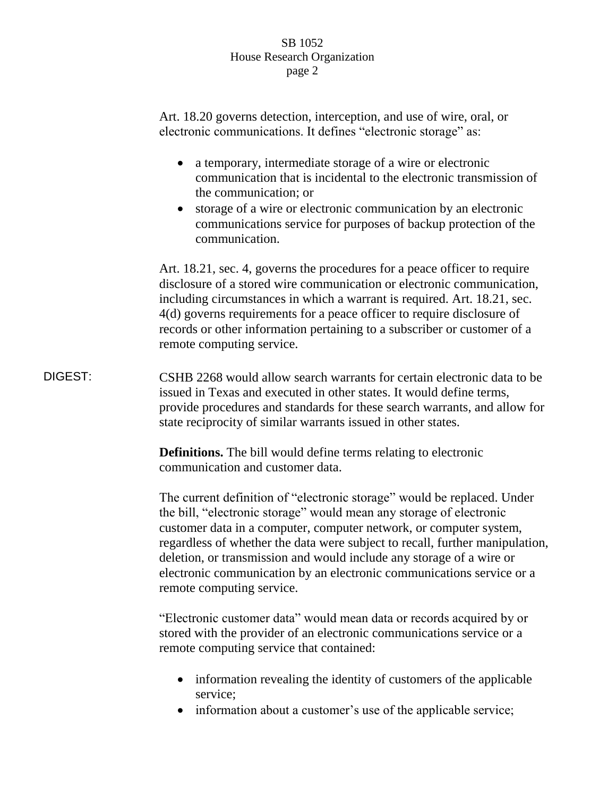Art. 18.20 governs detection, interception, and use of wire, oral, or electronic communications. It defines "electronic storage" as: a temporary, intermediate storage of a wire or electronic communication that is incidental to the electronic transmission of the communication; or storage of a wire or electronic communication by an electronic communications service for purposes of backup protection of the communication. Art. 18.21, sec. 4, governs the procedures for a peace officer to require disclosure of a stored wire communication or electronic communication, including circumstances in which a warrant is required. Art. 18.21, sec. 4(d) governs requirements for a peace officer to require disclosure of records or other information pertaining to a subscriber or customer of a remote computing service. DIGEST: CSHB 2268 would allow search warrants for certain electronic data to be issued in Texas and executed in other states. It would define terms, provide procedures and standards for these search warrants, and allow for state reciprocity of similar warrants issued in other states. **Definitions.** The bill would define terms relating to electronic communication and customer data. The current definition of "electronic storage" would be replaced. Under the bill, "electronic storage" would mean any storage of electronic customer data in a computer, computer network, or computer system, regardless of whether the data were subject to recall, further manipulation, deletion, or transmission and would include any storage of a wire or electronic communication by an electronic communications service or a remote computing service. "Electronic customer data" would mean data or records acquired by or stored with the provider of an electronic communications service or a remote computing service that contained:

- information revealing the identity of customers of the applicable service;
- information about a customer's use of the applicable service;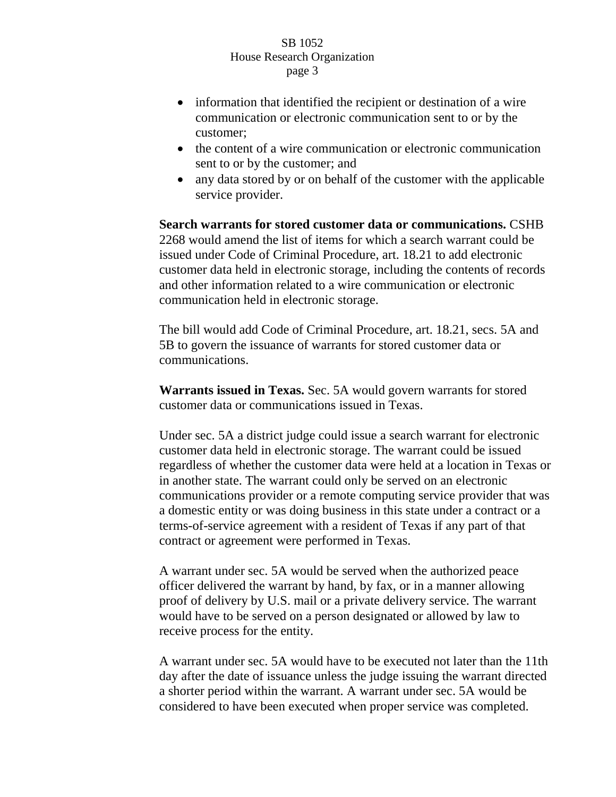- information that identified the recipient or destination of a wire communication or electronic communication sent to or by the customer;
- the content of a wire communication or electronic communication sent to or by the customer; and
- any data stored by or on behalf of the customer with the applicable service provider.

**Search warrants for stored customer data or communications.** CSHB 2268 would amend the list of items for which a search warrant could be issued under Code of Criminal Procedure, art. 18.21 to add electronic customer data held in electronic storage, including the contents of records and other information related to a wire communication or electronic communication held in electronic storage.

The bill would add Code of Criminal Procedure, art. 18.21, secs. 5A and 5B to govern the issuance of warrants for stored customer data or communications.

**Warrants issued in Texas.** Sec. 5A would govern warrants for stored customer data or communications issued in Texas.

Under sec. 5A a district judge could issue a search warrant for electronic customer data held in electronic storage. The warrant could be issued regardless of whether the customer data were held at a location in Texas or in another state. The warrant could only be served on an electronic communications provider or a remote computing service provider that was a domestic entity or was doing business in this state under a contract or a terms-of-service agreement with a resident of Texas if any part of that contract or agreement were performed in Texas.

A warrant under sec. 5A would be served when the authorized peace officer delivered the warrant by hand, by fax, or in a manner allowing proof of delivery by U.S. mail or a private delivery service. The warrant would have to be served on a person designated or allowed by law to receive process for the entity.

A warrant under sec. 5A would have to be executed not later than the 11th day after the date of issuance unless the judge issuing the warrant directed a shorter period within the warrant. A warrant under sec. 5A would be considered to have been executed when proper service was completed.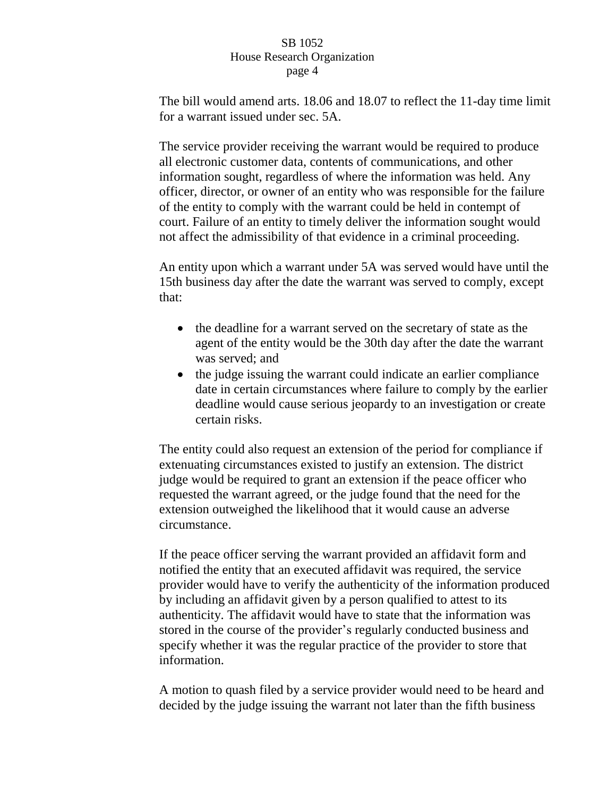The bill would amend arts. 18.06 and 18.07 to reflect the 11-day time limit for a warrant issued under sec. 5A.

The service provider receiving the warrant would be required to produce all electronic customer data, contents of communications, and other information sought, regardless of where the information was held. Any officer, director, or owner of an entity who was responsible for the failure of the entity to comply with the warrant could be held in contempt of court. Failure of an entity to timely deliver the information sought would not affect the admissibility of that evidence in a criminal proceeding.

An entity upon which a warrant under 5A was served would have until the 15th business day after the date the warrant was served to comply, except that:

- the deadline for a warrant served on the secretary of state as the agent of the entity would be the 30th day after the date the warrant was served; and
- the judge issuing the warrant could indicate an earlier compliance date in certain circumstances where failure to comply by the earlier deadline would cause serious jeopardy to an investigation or create certain risks.

The entity could also request an extension of the period for compliance if extenuating circumstances existed to justify an extension. The district judge would be required to grant an extension if the peace officer who requested the warrant agreed, or the judge found that the need for the extension outweighed the likelihood that it would cause an adverse circumstance.

If the peace officer serving the warrant provided an affidavit form and notified the entity that an executed affidavit was required, the service provider would have to verify the authenticity of the information produced by including an affidavit given by a person qualified to attest to its authenticity. The affidavit would have to state that the information was stored in the course of the provider's regularly conducted business and specify whether it was the regular practice of the provider to store that information.

A motion to quash filed by a service provider would need to be heard and decided by the judge issuing the warrant not later than the fifth business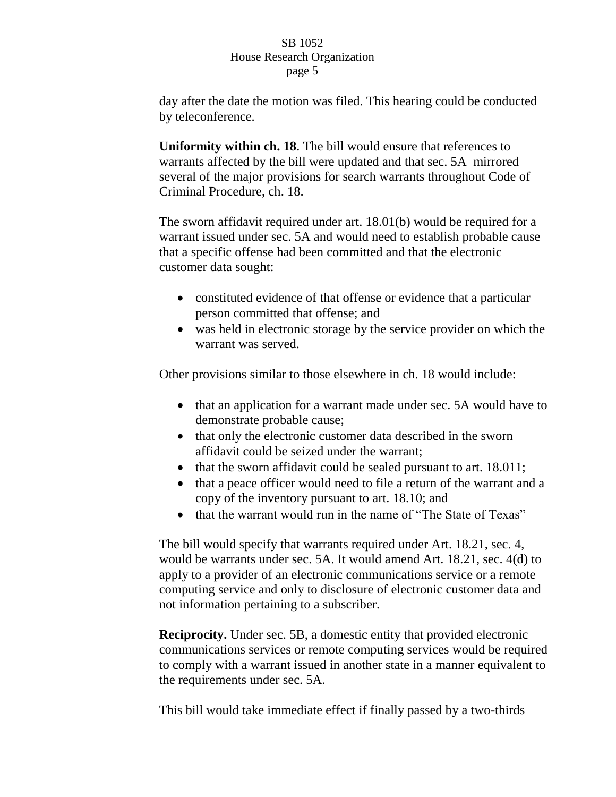day after the date the motion was filed. This hearing could be conducted by teleconference.

**Uniformity within ch. 18**. The bill would ensure that references to warrants affected by the bill were updated and that sec. 5A mirrored several of the major provisions for search warrants throughout Code of Criminal Procedure, ch. 18.

The sworn affidavit required under art. 18.01(b) would be required for a warrant issued under sec. 5A and would need to establish probable cause that a specific offense had been committed and that the electronic customer data sought:

- constituted evidence of that offense or evidence that a particular person committed that offense; and
- was held in electronic storage by the service provider on which the warrant was served.

Other provisions similar to those elsewhere in ch. 18 would include:

- that an application for a warrant made under sec. 5A would have to demonstrate probable cause;
- that only the electronic customer data described in the sworn affidavit could be seized under the warrant;
- $\bullet$  that the sworn affidavit could be sealed pursuant to art. 18.011;
- that a peace officer would need to file a return of the warrant and a copy of the inventory pursuant to art. 18.10; and
- that the warrant would run in the name of "The State of Texas"

The bill would specify that warrants required under Art. 18.21, sec. 4, would be warrants under sec. 5A. It would amend Art. 18.21, sec. 4(d) to apply to a provider of an electronic communications service or a remote computing service and only to disclosure of electronic customer data and not information pertaining to a subscriber.

**Reciprocity.** Under sec. 5B, a domestic entity that provided electronic communications services or remote computing services would be required to comply with a warrant issued in another state in a manner equivalent to the requirements under sec. 5A.

This bill would take immediate effect if finally passed by a two-thirds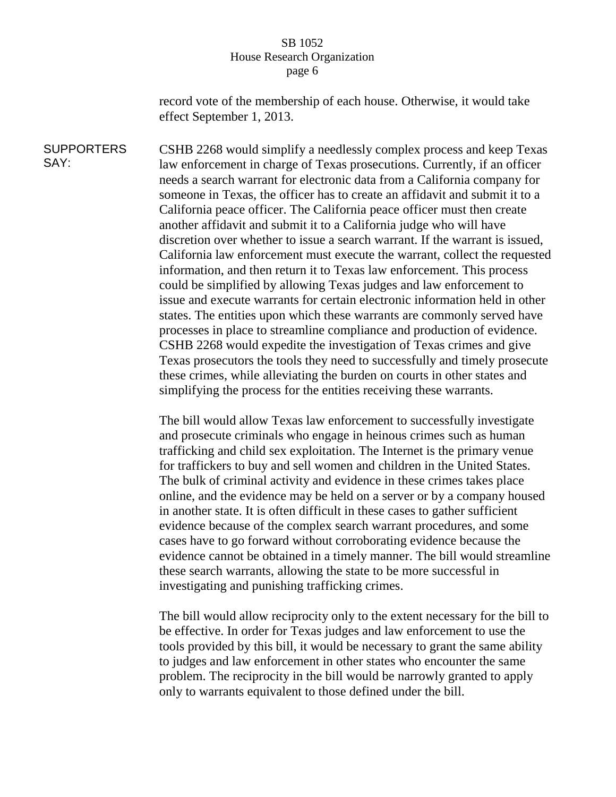record vote of the membership of each house. Otherwise, it would take effect September 1, 2013.

**SUPPORTERS** SAY: CSHB 2268 would simplify a needlessly complex process and keep Texas law enforcement in charge of Texas prosecutions. Currently, if an officer needs a search warrant for electronic data from a California company for someone in Texas, the officer has to create an affidavit and submit it to a California peace officer. The California peace officer must then create another affidavit and submit it to a California judge who will have discretion over whether to issue a search warrant. If the warrant is issued, California law enforcement must execute the warrant, collect the requested information, and then return it to Texas law enforcement. This process could be simplified by allowing Texas judges and law enforcement to issue and execute warrants for certain electronic information held in other states. The entities upon which these warrants are commonly served have processes in place to streamline compliance and production of evidence. CSHB 2268 would expedite the investigation of Texas crimes and give Texas prosecutors the tools they need to successfully and timely prosecute these crimes, while alleviating the burden on courts in other states and simplifying the process for the entities receiving these warrants.

> The bill would allow Texas law enforcement to successfully investigate and prosecute criminals who engage in heinous crimes such as human trafficking and child sex exploitation. The Internet is the primary venue for traffickers to buy and sell women and children in the United States. The bulk of criminal activity and evidence in these crimes takes place online, and the evidence may be held on a server or by a company housed in another state. It is often difficult in these cases to gather sufficient evidence because of the complex search warrant procedures, and some cases have to go forward without corroborating evidence because the evidence cannot be obtained in a timely manner. The bill would streamline these search warrants, allowing the state to be more successful in investigating and punishing trafficking crimes.

> The bill would allow reciprocity only to the extent necessary for the bill to be effective. In order for Texas judges and law enforcement to use the tools provided by this bill, it would be necessary to grant the same ability to judges and law enforcement in other states who encounter the same problem. The reciprocity in the bill would be narrowly granted to apply only to warrants equivalent to those defined under the bill.